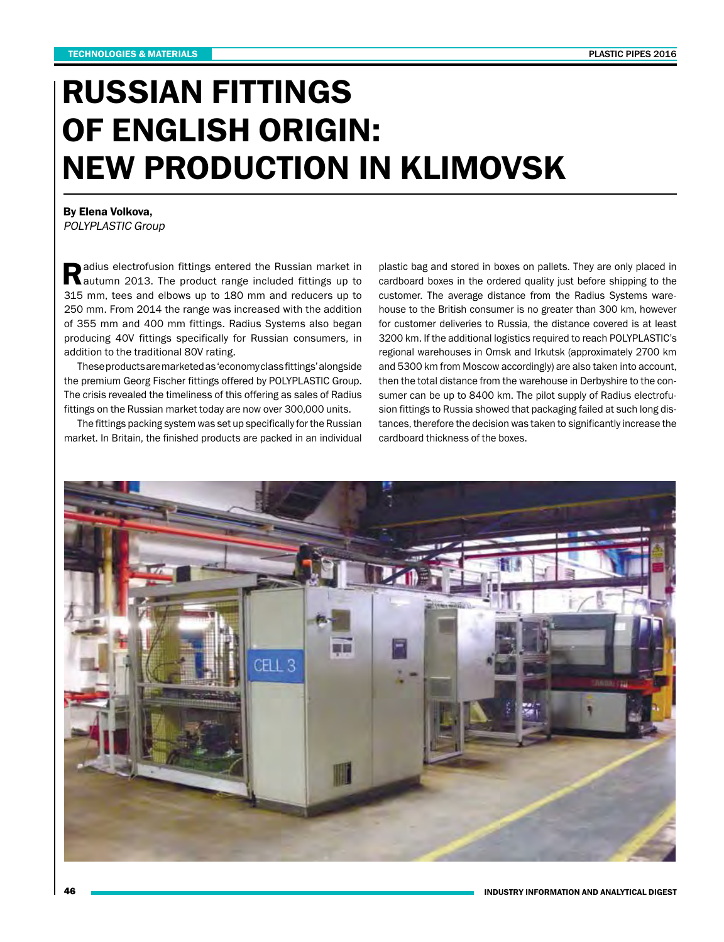## RUSSIAN FITTINGS OF ENGLISH ORIGIN: NEW PRODUCTION IN KLIMOVSK

By Elena Volkova, POLYPLASTIC Group

Radius electrofusion fittings entered the Russian market in autumn 2013. The product range included fittings up to 315 mm, tees and elbows up to 180 mm and reducers up to 250 mm. From 2014 the range was increased with the addition of 355 mm and 400 mm fittings. Radius Systems also began producing 40V fittings specifically for Russian consumers, in addition to the traditional 80V rating.

These products are marketed as 'economy class fittings' alongside the premium Georg Fischer fittings offered by POLYPLASTIC Group. The crisis revealed the timeliness of this offering as sales of Radius fittings on the Russian market today are now over 300,000 units.

The fittings packing system was set up specifically for the Russian market. In Britain, the finished products are packed in an individual plastic bag and stored in boxes on pallets. They are only placed in cardboard boxes in the ordered quality just before shipping to the customer. The average distance from the Radius Systems warehouse to the British consumer is no greater than 300 km, however for customer deliveries to Russia, the distance covered is at least 3200 km. If the additional logistics required to reach POLYPLASTIC's regional warehouses in Omsk and Irkutsk (approximately 2700 km and 5300 km from Moscow accordingly) are also taken into account, then the total distance from the warehouse in Derbyshire to the consumer can be up to 8400 km. The pilot supply of Radius electrofusion fittings to Russia showed that packaging failed at such long distances, therefore the decision was taken to significantly increase the cardboard thickness of the boxes.